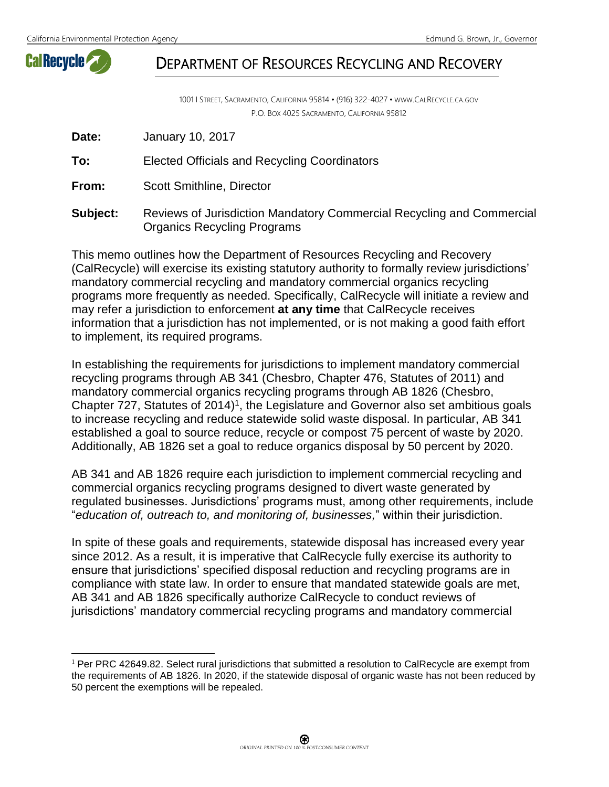

 $\overline{a}$ 

## DEPARTMENT OF RESOURCES RECYCLING AND RECOVERY

1001 I STREET, SACRAMENTO, CALIFORNIA 95814 • (916) 322-4027 • WWW.CALRECYCLE.CA.GOV P.O. BOX 4025 SACRAMENTO, CALIFORNIA 95812

| Date: | January 10, 2017 |
|-------|------------------|
|-------|------------------|

**To:** Elected Officials and Recycling Coordinators

**From:** Scott Smithline, Director

**Subject:** Reviews of Jurisdiction Mandatory Commercial Recycling and Commercial Organics Recycling Programs

This memo outlines how the Department of Resources Recycling and Recovery (CalRecycle) will exercise its existing statutory authority to formally review jurisdictions' mandatory commercial recycling and mandatory commercial organics recycling programs more frequently as needed. Specifically, CalRecycle will initiate a review and may refer a jurisdiction to enforcement **at any time** that CalRecycle receives information that a jurisdiction has not implemented, or is not making a good faith effort to implement, its required programs.

In establishing the requirements for jurisdictions to implement mandatory commercial recycling programs through AB 341 (Chesbro, Chapter 476, Statutes of 2011) and mandatory commercial organics recycling programs through AB 1826 (Chesbro, Chapter  $727$ , Statutes of  $2014$ <sup> $1$ </sup>, the Legislature and Governor also set ambitious goals to increase recycling and reduce statewide solid waste disposal. In particular, AB 341 established a goal to source reduce, recycle or compost 75 percent of waste by 2020. Additionally, AB 1826 set a goal to reduce organics disposal by 50 percent by 2020.

AB 341 and AB 1826 require each jurisdiction to implement commercial recycling and commercial organics recycling programs designed to divert waste generated by regulated businesses. Jurisdictions' programs must, among other requirements, include "*education of, outreach to, and monitoring of, businesses,*" within their jurisdiction.

In spite of these goals and requirements, statewide disposal has increased every year since 2012. As a result, it is imperative that CalRecycle fully exercise its authority to ensure that jurisdictions' specified disposal reduction and recycling programs are in compliance with state law. In order to ensure that mandated statewide goals are met, AB 341 and AB 1826 specifically authorize CalRecycle to conduct reviews of jurisdictions' mandatory commercial recycling programs and mandatory commercial

 $1$  Per PRC 42649.82. Select rural jurisdictions that submitted a resolution to CalRecycle are exempt from the requirements of AB 1826. In 2020, if the statewide disposal of organic waste has not been reduced by 50 percent the exemptions will be repealed.